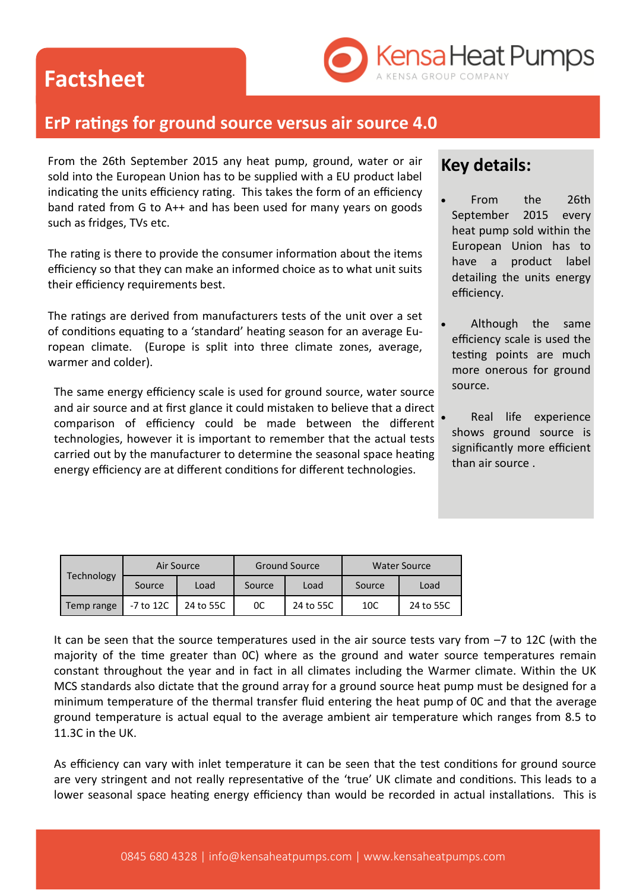## **Factsheet**



### **ErP ratings for ground source versus air source 4.0**

From the 26th September 2015 any heat pump, ground, water or air sold into the European Union has to be supplied with a EU product label indicating the units efficiency rating. This takes the form of an efficiency band rated from G to A++ and has been used for many years on goods such as fridges, TVs etc.

The rating is there to provide the consumer information about the items efficiency so that they can make an informed choice as to what unit suits their efficiency requirements best.

The ratings are derived from manufacturers tests of the unit over a set of conditions equating to a 'standard' heating season for an average European climate. (Europe is split into three climate zones, average, warmer and colder).

The same energy efficiency scale is used for ground source, water source and air source and at first glance it could mistaken to believe that a direct comparison of efficiency could be made between the different technologies, however it is important to remember that the actual tests carried out by the manufacturer to determine the seasonal space heating energy efficiency are at different conditions for different technologies.

#### **Key details:**

- From the 26th September 2015 every heat pump sold within the European Union has to have a product label detailing the units energy efficiency.
- Although the same efficiency scale is used the testing points are much more onerous for ground source.
- Real life experience shows ground source is significantly more efficient than air source .

| Technology | Air Source  |           | <b>Ground Source</b> |           | <b>Water Source</b> |           |
|------------|-------------|-----------|----------------------|-----------|---------------------|-----------|
|            | Source      | Load      | Source               | Load      | Source              | Load      |
| Temp range | $-7$ to 12C | 24 to 55C | 0C                   | 24 to 55C | 10C                 | 24 to 55C |

It can be seen that the source temperatures used in the air source tests vary from –7 to 12C (with the majority of the time greater than 0C) where as the ground and water source temperatures remain constant throughout the year and in fact in all climates including the Warmer climate. Within the UK MCS standards also dictate that the ground array for a ground source heat pump must be designed for a minimum temperature of the thermal transfer fluid entering the heat pump of 0C and that the average ground temperature is actual equal to the average ambient air temperature which ranges from 8.5 to 11.3C in the UK.

As efficiency can vary with inlet temperature it can be seen that the test conditions for ground source are very stringent and not really representative of the 'true' UK climate and conditions. This leads to a lower seasonal space heating energy efficiency than would be recorded in actual installations. This is